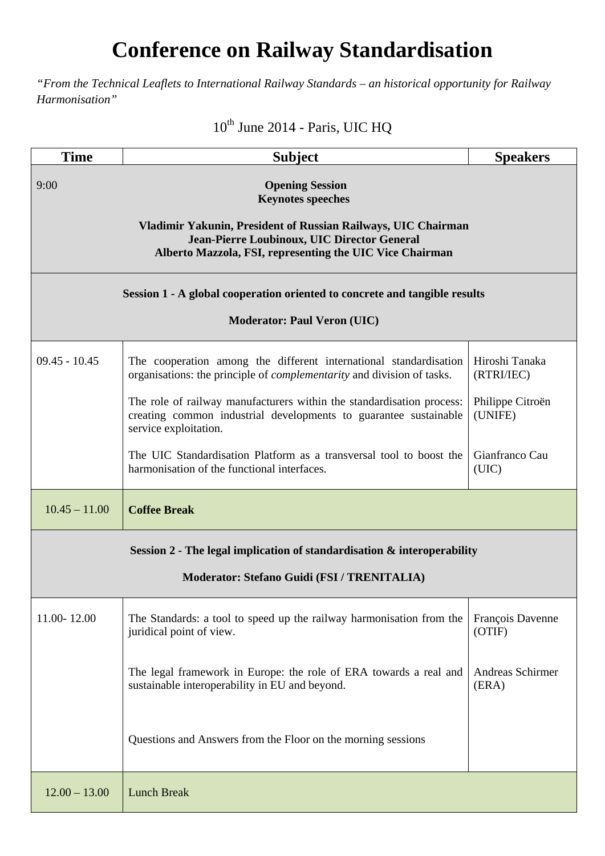## **Conference on Railway Standardisation**

*"From the Technical Leaflets to International Railway Standards – an historical opportunity for Railway Harmonisation"* 

## $10^{th}$  June 2014 - Paris, UIC HQ

| <b>Time</b>                                                                                                                                                                                                                            | <b>Subject</b>                                                                                                                                                     | <b>Speakers</b>                  |  |
|----------------------------------------------------------------------------------------------------------------------------------------------------------------------------------------------------------------------------------------|--------------------------------------------------------------------------------------------------------------------------------------------------------------------|----------------------------------|--|
| 9:00<br><b>Opening Session</b><br><b>Keynotes speeches</b><br>Vladimir Yakunin, President of Russian Railways, UIC Chairman<br>Jean-Pierre Loubinoux, UIC Director General<br>Alberto Mazzola, FSI, representing the UIC Vice Chairman |                                                                                                                                                                    |                                  |  |
| Session 1 - A global cooperation oriented to concrete and tangible results<br><b>Moderator: Paul Veron (UIC)</b>                                                                                                                       |                                                                                                                                                                    |                                  |  |
| $09.45 - 10.45$                                                                                                                                                                                                                        | The cooperation among the different international standardisation<br>organisations: the principle of <i>complementarity</i> and division of tasks.                 | Hiroshi Tanaka<br>(RTRI/IEC)     |  |
|                                                                                                                                                                                                                                        | The role of railway manufacturers within the standardisation process:<br>creating common industrial developments to guarantee sustainable<br>service exploitation. | Philippe Citroën<br>(UNIFE)      |  |
|                                                                                                                                                                                                                                        | The UIC Standardisation Platform as a transversal tool to boost the<br>harmonisation of the functional interfaces.                                                 | Gianfranco Cau<br>(UIC)          |  |
| $10.45 - 11.00$                                                                                                                                                                                                                        | <b>Coffee Break</b>                                                                                                                                                |                                  |  |
| Session $2$ - The legal implication of standardisation $\&$ interoperability<br>Moderator: Stefano Guidi (FSI / TRENITALIA)                                                                                                            |                                                                                                                                                                    |                                  |  |
| 11.00-12.00                                                                                                                                                                                                                            | The Standards: a tool to speed up the railway harmonisation from the<br>juridical point of view.                                                                   | François Davenne<br>(OTIF)       |  |
|                                                                                                                                                                                                                                        | The legal framework in Europe: the role of ERA towards a real and<br>sustainable interoperability in EU and beyond.                                                | <b>Andreas Schirmer</b><br>(ERA) |  |
|                                                                                                                                                                                                                                        | Questions and Answers from the Floor on the morning sessions                                                                                                       |                                  |  |
| $12.00 - 13.00$                                                                                                                                                                                                                        | <b>Lunch Break</b>                                                                                                                                                 |                                  |  |